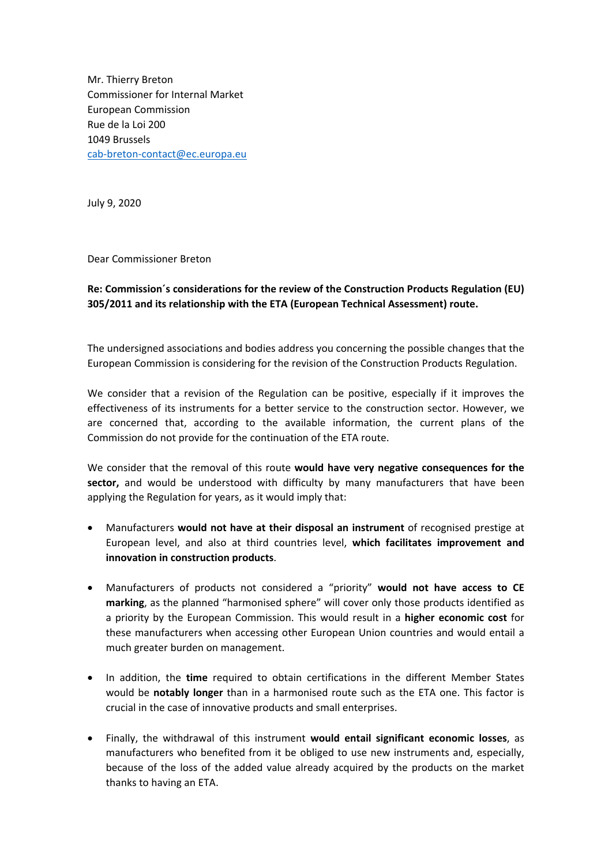Mr. Thierry Breton Commissioner for Internal Market European Commission Rue de la Loi 200 1049 Brussels cab‐breton‐contact@ec.europa.eu

July 9, 2020

Dear Commissioner Breton

## **Re: Commission´s considerations for the review of the Construction Products Regulation (EU) 305/2011 and its relationship with the ETA (European Technical Assessment) route.**

The undersigned associations and bodies address you concerning the possible changes that the European Commission is considering for the revision of the Construction Products Regulation.

We consider that a revision of the Regulation can be positive, especially if it improves the effectiveness of its instruments for a better service to the construction sector. However, we are concerned that, according to the available information, the current plans of the Commission do not provide for the continuation of the ETA route.

We consider that the removal of this route **would have very negative consequences for the sector,** and would be understood with difficulty by many manufacturers that have been applying the Regulation for years, as it would imply that:

- Manufacturers **would not have at their disposal an instrument** of recognised prestige at European level, and also at third countries level, **which facilitates improvement and innovation in construction products**.
- Manufacturers of products not considered a "priority" **would not have access to CE marking**, as the planned "harmonised sphere" will cover only those products identified as a priority by the European Commission. This would result in a **higher economic cost** for these manufacturers when accessing other European Union countries and would entail a much greater burden on management.
- In addition, the **time** required to obtain certifications in the different Member States would be **notably longer** than in a harmonised route such as the ETA one. This factor is crucial in the case of innovative products and small enterprises.
- Finally, the withdrawal of this instrument **would entail significant economic losses**, as manufacturers who benefited from it be obliged to use new instruments and, especially, because of the loss of the added value already acquired by the products on the market thanks to having an ETA.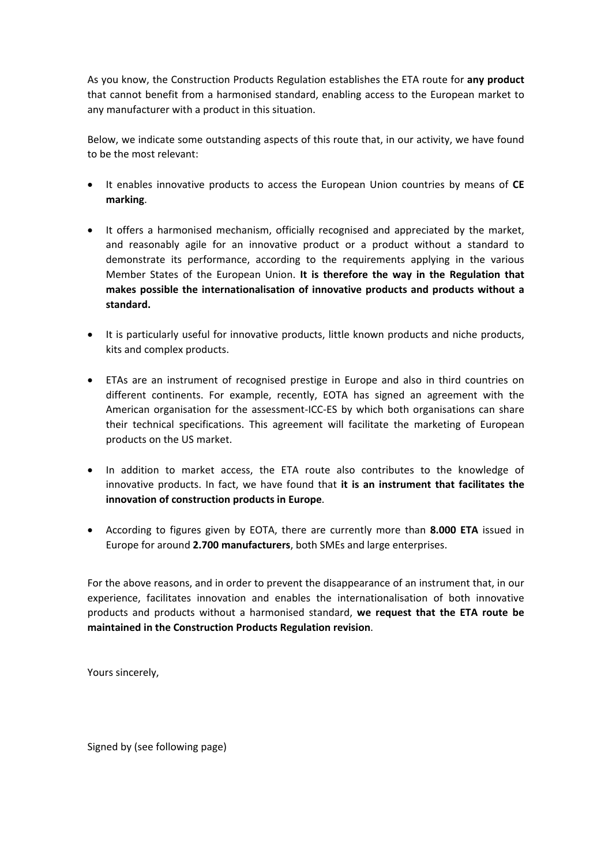As you know, the Construction Products Regulation establishes the ETA route for **any product** that cannot benefit from a harmonised standard, enabling access to the European market to any manufacturer with a product in this situation.

Below, we indicate some outstanding aspects of this route that, in our activity, we have found to be the most relevant:

- It enables innovative products to access the European Union countries by means of **CE marking**.
- It offers a harmonised mechanism, officially recognised and appreciated by the market, and reasonably agile for an innovative product or a product without a standard to demonstrate its performance, according to the requirements applying in the various Member States of the European Union. **It is therefore the way in the Regulation that makes possible the internationalisation of innovative products and products without a standard.**
- It is particularly useful for innovative products, little known products and niche products, kits and complex products.
- ETAs are an instrument of recognised prestige in Europe and also in third countries on different continents. For example, recently, EOTA has signed an agreement with the American organisation for the assessment-ICC-ES by which both organisations can share their technical specifications. This agreement will facilitate the marketing of European products on the US market.
- In addition to market access, the ETA route also contributes to the knowledge of innovative products. In fact, we have found that **it is an instrument that facilitates the innovation of construction products in Europe**.
- According to figures given by EOTA, there are currently more than **8.000 ETA** issued in Europe for around **2.700 manufacturers**, both SMEs and large enterprises.

For the above reasons, and in order to prevent the disappearance of an instrument that, in our experience, facilitates innovation and enables the internationalisation of both innovative products and products without a harmonised standard, **we request that the ETA route be maintained in the Construction Products Regulation revision**.

Yours sincerely,

Signed by (see following page)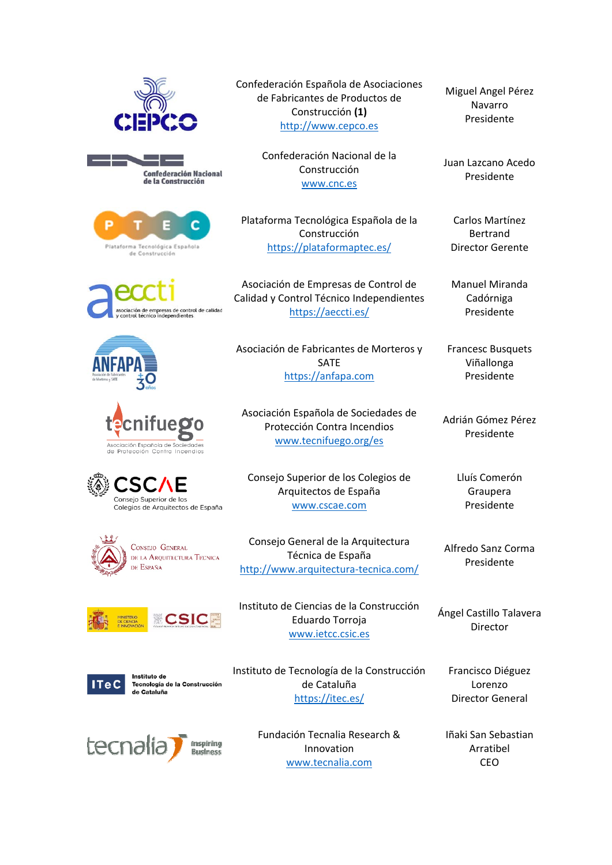





asociación de empresas de control de calidad<br>y control técnico independientes









**CSIC** 



Instituto de Tecnología de la Construcción de Cataluña



Confederación Española de Asociaciones de Fabricantes de Productos de Construcción **(1)** http://www.cepco.es

> Confederación Nacional de la Construcción www.cnc.es

Plataforma Tecnológica Española de la Construcción https://plataformaptec.es/

Asociación de Empresas de Control de Calidad y Control Técnico Independientes https://aeccti.es/

Asociación de Fabricantes de Morteros y SATE https://anfapa.com

Asociación Española de Sociedades de Protección Contra Incendios www.tecnifuego.org/es

Consejo Superior de los Colegios de Arquitectos de España www.cscae.com

Consejo General de la Arquitectura Técnica de España http://www.arquitectura‐tecnica.com/

Instituto de Ciencias de la Construcción Eduardo Torroja www.ietcc.csic.es

Instituto de Tecnología de la Construcción de Cataluña https://itec.es/

> Fundación Tecnalia Research & Innovation www.tecnalia.com

Miguel Angel Pérez Navarro Presidente

Juan Lazcano Acedo Presidente

Carlos Martínez Bertrand Director Gerente

Manuel Miranda Cadórniga Presidente

Francesc Busquets Viñallonga Presidente

Adrián Gómez Pérez Presidente

> Lluís Comerón Graupera Presidente

Alfredo Sanz Corma Presidente

Ángel Castillo Talavera Director

> Francisco Diéguez Lorenzo Director General

Iñaki San Sebastian Arratibel CEO